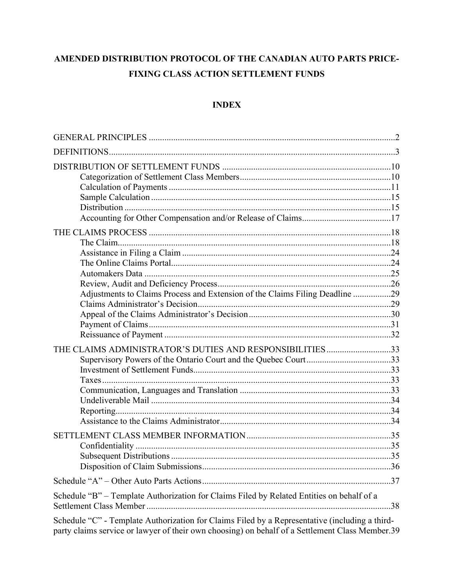# AMENDED DISTRIBUTION PROTOCOL OF THE CANADIAN AUTO PARTS PRICE-FIXING CLASS ACTION SETTLEMENT FUNDS

# **INDEX**

| Adjustments to Claims Process and Extension of the Claims Filing Deadline 29                                               |  |
|----------------------------------------------------------------------------------------------------------------------------|--|
| THE CLAIMS ADMINISTRATOR'S DUTIES AND RESPONSIBILITIES33<br>Supervisory Powers of the Ontario Court and the Quebec Court33 |  |
|                                                                                                                            |  |
|                                                                                                                            |  |
| Schedule "B" - Template Authorization for Claims Filed by Related Entities on behalf of a                                  |  |
| Schedule "C" - Template Authorization for Claims Filed by a Representative (including a third-                             |  |

party claims service or lawyer of their own choosing) on behalf of a Settlement Class Member.39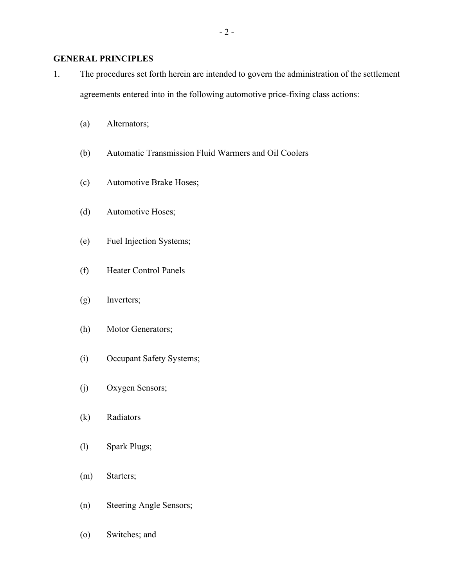# GENERAL PRINCIPLES

1. The procedures set forth herein are intended to govern the administration of the settlement agreements entered into in the following automotive price-fixing class actions:

- 2 -

- (a) Alternators;
- (b) Automatic Transmission Fluid Warmers and Oil Coolers
- (c) Automotive Brake Hoses;
- (d) Automotive Hoses;
- (e) Fuel Injection Systems;
- (f) Heater Control Panels
- (g) Inverters;
- (h) Motor Generators;
- (i) Occupant Safety Systems;
- (j) Oxygen Sensors;
- (k) Radiators
- (l) Spark Plugs;
- (m) Starters;
- (n) Steering Angle Sensors;

(o) Switches; and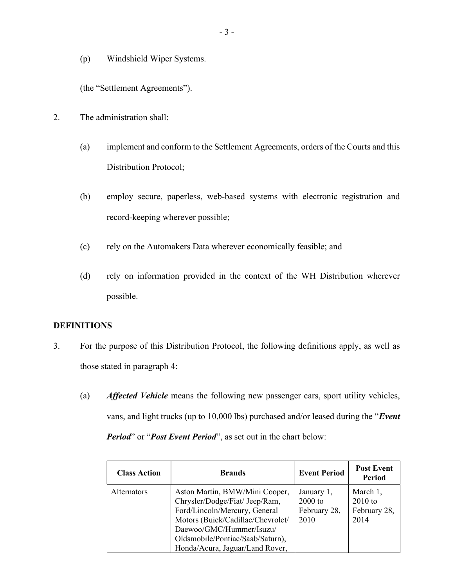(p) Windshield Wiper Systems.

(the "Settlement Agreements").

- 2. The administration shall:
	- (a) implement and conform to the Settlement Agreements, orders of the Courts and this Distribution Protocol;
	- (b) employ secure, paperless, web-based systems with electronic registration and record-keeping wherever possible;
	- (c) rely on the Automakers Data wherever economically feasible; and
	- (d) rely on information provided in the context of the WH Distribution wherever possible.

## DEFINITIONS

- 3. For the purpose of this Distribution Protocol, the following definitions apply, as well as those stated in paragraph 4:
	- (a) Affected Vehicle means the following new passenger cars, sport utility vehicles, vans, and light trucks (up to 10,000 lbs) purchased and/or leased during the "Event Period" or "Post Event Period", as set out in the chart below:

| <b>Class Action</b> | <b>Brands</b>                                                                                                                                                                                                                             | <b>Event Period</b>                             | <b>Post Event</b><br><b>Period</b>            |
|---------------------|-------------------------------------------------------------------------------------------------------------------------------------------------------------------------------------------------------------------------------------------|-------------------------------------------------|-----------------------------------------------|
| <b>Alternators</b>  | Aston Martin, BMW/Mini Cooper,<br>Chrysler/Dodge/Fiat/ Jeep/Ram,<br>Ford/Lincoln/Mercury, General<br>Motors (Buick/Cadillac/Chevrolet/<br>Daewoo/GMC/Hummer/Isuzu/<br>Oldsmobile/Pontiac/Saab/Saturn),<br>Honda/Acura, Jaguar/Land Rover, | January 1,<br>$2000$ to<br>February 28,<br>2010 | March 1,<br>$2010$ to<br>February 28,<br>2014 |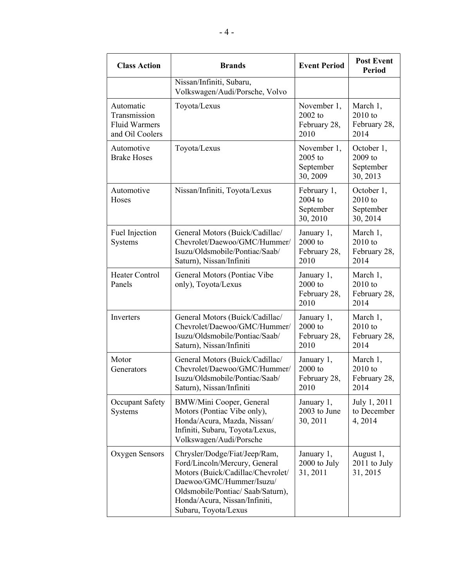| <b>Class Action</b>                                                  | <b>Brands</b>                                                                                                                                                                                                                 | <b>Event Period</b>                             | <b>Post Event</b><br><b>Period</b>               |  |
|----------------------------------------------------------------------|-------------------------------------------------------------------------------------------------------------------------------------------------------------------------------------------------------------------------------|-------------------------------------------------|--------------------------------------------------|--|
|                                                                      | Nissan/Infiniti, Subaru,<br>Volkswagen/Audi/Porsche, Volvo                                                                                                                                                                    |                                                 |                                                  |  |
| Automatic<br>Transmission<br><b>Fluid Warmers</b><br>and Oil Coolers | Toyota/Lexus                                                                                                                                                                                                                  | November 1,<br>2002 to<br>February 28,<br>2010  | March 1,<br>2010 to<br>February 28,<br>2014      |  |
| Automotive<br><b>Brake Hoses</b>                                     | Toyota/Lexus                                                                                                                                                                                                                  | November 1,<br>2005 to<br>September<br>30, 2009 | October 1,<br>2009 to<br>September<br>30, 2013   |  |
| Automotive<br>Hoses                                                  | Nissan/Infiniti, Toyota/Lexus                                                                                                                                                                                                 | February 1,<br>2004 to<br>September<br>30, 2010 | October 1,<br>$2010$ to<br>September<br>30, 2014 |  |
| Fuel Injection<br>Systems                                            | General Motors (Buick/Cadillac/<br>Chevrolet/Daewoo/GMC/Hummer/<br>Isuzu/Oldsmobile/Pontiac/Saab/<br>Saturn), Nissan/Infiniti                                                                                                 | January 1,<br>$2000$ to<br>February 28,<br>2010 | March 1,<br>$2010$ to<br>February 28,<br>2014    |  |
| <b>Heater Control</b><br>Panels                                      | General Motors (Pontiac Vibe<br>only), Toyota/Lexus                                                                                                                                                                           | January 1,<br>2000 to<br>February 28,<br>2010   | March 1,<br>$2010$ to<br>February 28,<br>2014    |  |
| Inverters                                                            | General Motors (Buick/Cadillac/<br>Chevrolet/Daewoo/GMC/Hummer/<br>Isuzu/Oldsmobile/Pontiac/Saab/<br>Saturn), Nissan/Infiniti                                                                                                 | January 1,<br>2000 to<br>February 28,<br>2010   | March 1,<br>$2010$ to<br>February 28,<br>2014    |  |
| Motor<br>Generators                                                  | General Motors (Buick/Cadillac/<br>Chevrolet/Daewoo/GMC/Hummer/<br>Isuzu/Oldsmobile/Pontiac/Saab/<br>Saturn), Nissan/Infiniti                                                                                                 | January 1,<br>2000 to<br>February 28,<br>2010   | March 1,<br>2010 to<br>February 28,<br>2014      |  |
| Occupant Safety<br>Systems                                           | BMW/Mini Cooper, General<br>Motors (Pontiac Vibe only),<br>Honda/Acura, Mazda, Nissan/<br>Infiniti, Subaru, Toyota/Lexus,<br>Volkswagen/Audi/Porsche                                                                          | January 1,<br>2003 to June<br>30, 2011          | July 1, 2011<br>to December<br>4,2014            |  |
| Oxygen Sensors                                                       | Chrysler/Dodge/Fiat/Jeep/Ram,<br>Ford/Lincoln/Mercury, General<br>Motors (Buick/Cadillac/Chevrolet/<br>Daewoo/GMC/Hummer/Isuzu/<br>Oldsmobile/Pontiac/ Saab/Saturn),<br>Honda/Acura, Nissan/Infiniti,<br>Subaru, Toyota/Lexus | January 1,<br>2000 to July<br>31, 2011          | August 1,<br>$2011$ to July<br>31, 2015          |  |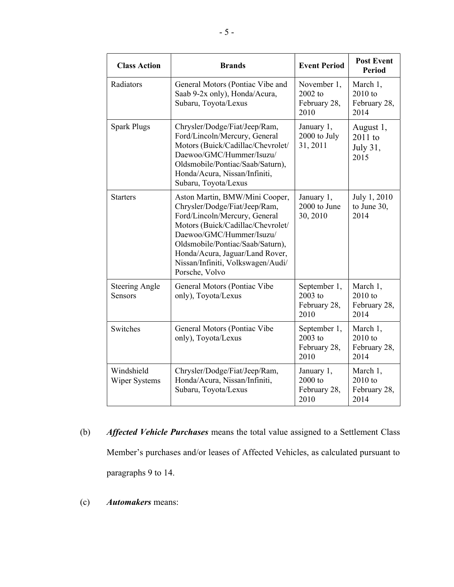| <b>Class Action</b>              | <b>Brands</b>                                                                                                                                                                                                                                                                                   | <b>Event Period</b>                               | <b>Post Event</b><br><b>Period</b>            |
|----------------------------------|-------------------------------------------------------------------------------------------------------------------------------------------------------------------------------------------------------------------------------------------------------------------------------------------------|---------------------------------------------------|-----------------------------------------------|
| Radiators                        | General Motors (Pontiac Vibe and<br>Saab 9-2x only), Honda/Acura,<br>Subaru, Toyota/Lexus                                                                                                                                                                                                       | November 1,<br>$2002$ to<br>February 28,<br>2010  | March 1,<br>$2010$ to<br>February 28,<br>2014 |
| <b>Spark Plugs</b>               | Chrysler/Dodge/Fiat/Jeep/Ram,<br>Ford/Lincoln/Mercury, General<br>Motors (Buick/Cadillac/Chevrolet/<br>Daewoo/GMC/Hummer/Isuzu/<br>Oldsmobile/Pontiac/Saab/Saturn),<br>Honda/Acura, Nissan/Infiniti,<br>Subaru, Toyota/Lexus                                                                    | January 1,<br>2000 to July<br>31, 2011            | August 1,<br>$2011$ to<br>July 31,<br>2015    |
| <b>Starters</b>                  | Aston Martin, BMW/Mini Cooper,<br>Chrysler/Dodge/Fiat/Jeep/Ram,<br>Ford/Lincoln/Mercury, General<br>Motors (Buick/Cadillac/Chevrolet/<br>Daewoo/GMC/Hummer/Isuzu/<br>Oldsmobile/Pontiac/Saab/Saturn),<br>Honda/Acura, Jaguar/Land Rover,<br>Nissan/Infiniti, Volkswagen/Audi/<br>Porsche, Volvo | January 1,<br>2000 to June<br>30, 2010            | July 1, 2010<br>to June 30,<br>2014           |
| <b>Steering Angle</b><br>Sensors | General Motors (Pontiac Vibe<br>only), Toyota/Lexus                                                                                                                                                                                                                                             | September 1,<br>$2003$ to<br>February 28,<br>2010 | March 1,<br>$2010$ to<br>February 28,<br>2014 |
| Switches                         | General Motors (Pontiac Vibe<br>only), Toyota/Lexus                                                                                                                                                                                                                                             | September 1,<br>$2003$ to<br>February 28,<br>2010 | March 1,<br>$2010$ to<br>February 28,<br>2014 |
| Windshield<br>Wiper Systems      | Chrysler/Dodge/Fiat/Jeep/Ram,<br>Honda/Acura, Nissan/Infiniti,<br>Subaru, Toyota/Lexus                                                                                                                                                                                                          | January 1,<br>$2000$ to<br>February 28,<br>2010   | March 1,<br>$2010$ to<br>February 28,<br>2014 |

- (b) Affected Vehicle Purchases means the total value assigned to a Settlement Class Member's purchases and/or leases of Affected Vehicles, as calculated pursuant to paragraphs 9 to 14.
- (c) Automakers means: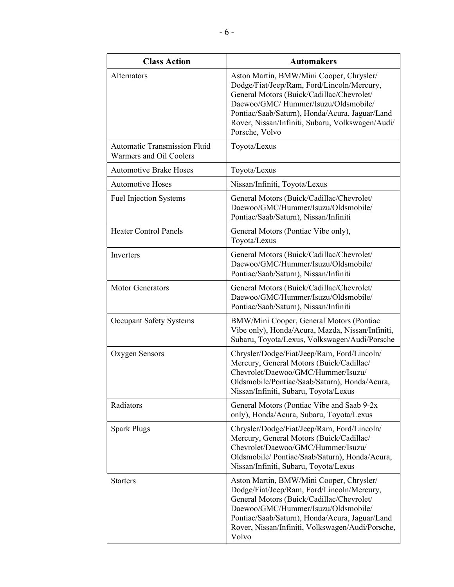| <b>Class Action</b>                                            | <b>Automakers</b>                                                                                                                                                                                                                                                                                  |
|----------------------------------------------------------------|----------------------------------------------------------------------------------------------------------------------------------------------------------------------------------------------------------------------------------------------------------------------------------------------------|
| Alternators                                                    | Aston Martin, BMW/Mini Cooper, Chrysler/<br>Dodge/Fiat/Jeep/Ram, Ford/Lincoln/Mercury,<br>General Motors (Buick/Cadillac/Chevrolet/<br>Daewoo/GMC/Hummer/Isuzu/Oldsmobile/<br>Pontiac/Saab/Saturn), Honda/Acura, Jaguar/Land<br>Rover, Nissan/Infiniti, Subaru, Volkswagen/Audi/<br>Porsche, Volvo |
| <b>Automatic Transmission Fluid</b><br>Warmers and Oil Coolers | Toyota/Lexus                                                                                                                                                                                                                                                                                       |
| <b>Automotive Brake Hoses</b>                                  | Toyota/Lexus                                                                                                                                                                                                                                                                                       |
| <b>Automotive Hoses</b>                                        | Nissan/Infiniti, Toyota/Lexus                                                                                                                                                                                                                                                                      |
| <b>Fuel Injection Systems</b>                                  | General Motors (Buick/Cadillac/Chevrolet/<br>Daewoo/GMC/Hummer/Isuzu/Oldsmobile/<br>Pontiac/Saab/Saturn), Nissan/Infiniti                                                                                                                                                                          |
| <b>Heater Control Panels</b>                                   | General Motors (Pontiac Vibe only),<br>Toyota/Lexus                                                                                                                                                                                                                                                |
| Inverters                                                      | General Motors (Buick/Cadillac/Chevrolet/<br>Daewoo/GMC/Hummer/Isuzu/Oldsmobile/<br>Pontiac/Saab/Saturn), Nissan/Infiniti                                                                                                                                                                          |
| <b>Motor Generators</b>                                        | General Motors (Buick/Cadillac/Chevrolet/<br>Daewoo/GMC/Hummer/Isuzu/Oldsmobile/<br>Pontiac/Saab/Saturn), Nissan/Infiniti                                                                                                                                                                          |
| <b>Occupant Safety Systems</b>                                 | BMW/Mini Cooper, General Motors (Pontiac<br>Vibe only), Honda/Acura, Mazda, Nissan/Infiniti,<br>Subaru, Toyota/Lexus, Volkswagen/Audi/Porsche                                                                                                                                                      |
| Oxygen Sensors                                                 | Chrysler/Dodge/Fiat/Jeep/Ram, Ford/Lincoln/<br>Mercury, General Motors (Buick/Cadillac/<br>Chevrolet/Daewoo/GMC/Hummer/Isuzu/<br>Oldsmobile/Pontiac/Saab/Saturn), Honda/Acura,<br>Nissan/Infiniti, Subaru, Toyota/Lexus                                                                            |
| Radiators                                                      | General Motors (Pontiac Vibe and Saab 9-2x)<br>only), Honda/Acura, Subaru, Toyota/Lexus                                                                                                                                                                                                            |
| <b>Spark Plugs</b>                                             | Chrysler/Dodge/Fiat/Jeep/Ram, Ford/Lincoln/<br>Mercury, General Motors (Buick/Cadillac/<br>Chevrolet/Daewoo/GMC/Hummer/Isuzu/<br>Oldsmobile/ Pontiac/Saab/Saturn), Honda/Acura,<br>Nissan/Infiniti, Subaru, Toyota/Lexus                                                                           |
| <b>Starters</b>                                                | Aston Martin, BMW/Mini Cooper, Chrysler/<br>Dodge/Fiat/Jeep/Ram, Ford/Lincoln/Mercury,<br>General Motors (Buick/Cadillac/Chevrolet/<br>Daewoo/GMC/Hummer/Isuzu/Oldsmobile/<br>Pontiac/Saab/Saturn), Honda/Acura, Jaguar/Land<br>Rover, Nissan/Infiniti, Volkswagen/Audi/Porsche,<br>Volvo          |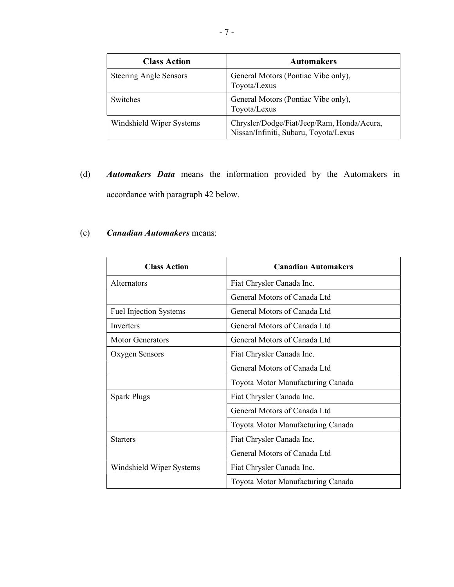| <b>Class Action</b>           | <b>Automakers</b>                                                                   |
|-------------------------------|-------------------------------------------------------------------------------------|
| <b>Steering Angle Sensors</b> | General Motors (Pontiac Vibe only),<br>Toyota/Lexus                                 |
| Switches                      | General Motors (Pontiac Vibe only),<br>Toyota/Lexus                                 |
| Windshield Wiper Systems      | Chrysler/Dodge/Fiat/Jeep/Ram, Honda/Acura,<br>Nissan/Infiniti, Subaru, Toyota/Lexus |

(d) Automakers Data means the information provided by the Automakers in accordance with paragraph 42 below.

# (e) Canadian Automakers means:

| <b>Class Action</b>           | <b>Canadian Automakers</b>        |  |  |
|-------------------------------|-----------------------------------|--|--|
| <b>Alternators</b>            | Fiat Chrysler Canada Inc.         |  |  |
|                               | General Motors of Canada Ltd      |  |  |
| <b>Fuel Injection Systems</b> | General Motors of Canada Ltd      |  |  |
| <b>Inverters</b>              | General Motors of Canada Ltd      |  |  |
| <b>Motor Generators</b>       | General Motors of Canada Ltd      |  |  |
| Oxygen Sensors                | Fiat Chrysler Canada Inc.         |  |  |
|                               | General Motors of Canada Ltd      |  |  |
|                               | Toyota Motor Manufacturing Canada |  |  |
| <b>Spark Plugs</b>            | Fiat Chrysler Canada Inc.         |  |  |
|                               | General Motors of Canada Ltd      |  |  |
|                               | Toyota Motor Manufacturing Canada |  |  |
| <b>Starters</b>               | Fiat Chrysler Canada Inc.         |  |  |
|                               | General Motors of Canada Ltd      |  |  |
| Windshield Wiper Systems      | Fiat Chrysler Canada Inc.         |  |  |
|                               | Toyota Motor Manufacturing Canada |  |  |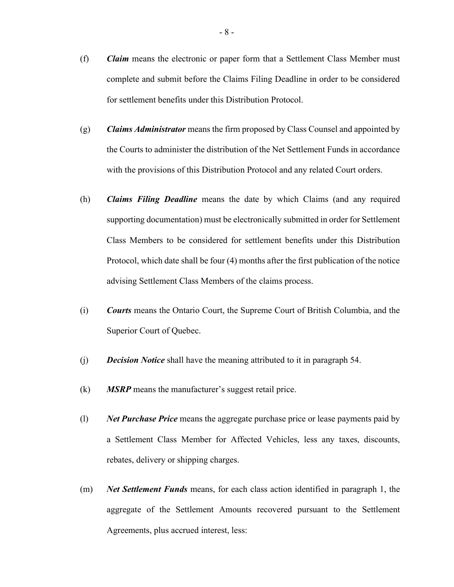- (f) Claim means the electronic or paper form that a Settlement Class Member must complete and submit before the Claims Filing Deadline in order to be considered for settlement benefits under this Distribution Protocol.
- $(g)$  Claims Administrator means the firm proposed by Class Counsel and appointed by the Courts to administer the distribution of the Net Settlement Funds in accordance with the provisions of this Distribution Protocol and any related Court orders.
- (h) Claims Filing Deadline means the date by which Claims (and any required supporting documentation) must be electronically submitted in order for Settlement Class Members to be considered for settlement benefits under this Distribution Protocol, which date shall be four (4) months after the first publication of the notice advising Settlement Class Members of the claims process.
- (i) Courts means the Ontario Court, the Supreme Court of British Columbia, and the Superior Court of Quebec.
- (j) Decision Notice shall have the meaning attributed to it in paragraph 54.
- $(k)$  MSRP means the manufacturer's suggest retail price.
- $(1)$  Net Purchase Price means the aggregate purchase price or lease payments paid by a Settlement Class Member for Affected Vehicles, less any taxes, discounts, rebates, delivery or shipping charges.
- (m) Net Settlement Funds means, for each class action identified in paragraph 1, the aggregate of the Settlement Amounts recovered pursuant to the Settlement Agreements, plus accrued interest, less: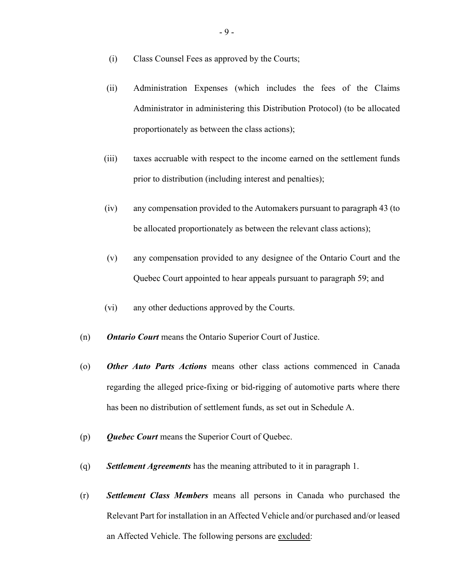- (i) Class Counsel Fees as approved by the Courts;
- (ii) Administration Expenses (which includes the fees of the Claims Administrator in administering this Distribution Protocol) (to be allocated proportionately as between the class actions);
- (iii) taxes accruable with respect to the income earned on the settlement funds prior to distribution (including interest and penalties);
- (iv) any compensation provided to the Automakers pursuant to paragraph 43 (to be allocated proportionately as between the relevant class actions);
- (v) any compensation provided to any designee of the Ontario Court and the Quebec Court appointed to hear appeals pursuant to paragraph 59; and
- (vi) any other deductions approved by the Courts.
- (n) Ontario Court means the Ontario Superior Court of Justice.
- (o) Other Auto Parts Actions means other class actions commenced in Canada regarding the alleged price-fixing or bid-rigging of automotive parts where there has been no distribution of settlement funds, as set out in Schedule A.
- (p) Ouebec Court means the Superior Court of Quebec.
- (q) Settlement Agreements has the meaning attributed to it in paragraph 1.
- (r) Settlement Class Members means all persons in Canada who purchased the Relevant Part for installation in an Affected Vehicle and/or purchased and/or leased an Affected Vehicle. The following persons are excluded: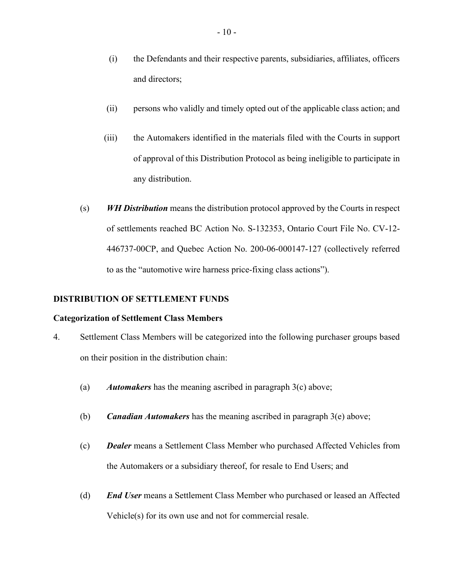- (i) the Defendants and their respective parents, subsidiaries, affiliates, officers and directors;
- (ii) persons who validly and timely opted out of the applicable class action; and
- (iii) the Automakers identified in the materials filed with the Courts in support of approval of this Distribution Protocol as being ineligible to participate in any distribution.
- $(s)$  WH Distribution means the distribution protocol approved by the Courts in respect of settlements reached BC Action No. S-132353, Ontario Court File No. CV-12- 446737-00CP, and Quebec Action No. 200-06-000147-127 (collectively referred to as the "automotive wire harness price-fixing class actions").

# DISTRIBUTION OF SETTLEMENT FUNDS

## Categorization of Settlement Class Members

- 4. Settlement Class Members will be categorized into the following purchaser groups based on their position in the distribution chain:
	- (a) Automakers has the meaning ascribed in paragraph  $3(c)$  above;
	- (b) **Canadian Automakers** has the meaning ascribed in paragraph  $3(e)$  above;
	- (c) Dealer means a Settlement Class Member who purchased Affected Vehicles from the Automakers or a subsidiary thereof, for resale to End Users; and
	- (d) End User means a Settlement Class Member who purchased or leased an Affected Vehicle(s) for its own use and not for commercial resale.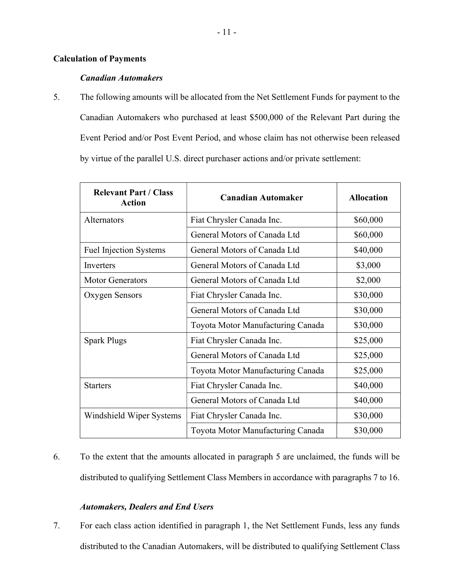# Calculation of Payments

# Canadian Automakers

5. The following amounts will be allocated from the Net Settlement Funds for payment to the Canadian Automakers who purchased at least \$500,000 of the Relevant Part during the Event Period and/or Post Event Period, and whose claim has not otherwise been released by virtue of the parallel U.S. direct purchaser actions and/or private settlement:

| <b>Relevant Part / Class</b><br><b>Action</b> | <b>Canadian Automaker</b>         | <b>Allocation</b> |
|-----------------------------------------------|-----------------------------------|-------------------|
| Alternators                                   | Fiat Chrysler Canada Inc.         | \$60,000          |
|                                               | General Motors of Canada Ltd      | \$60,000          |
| <b>Fuel Injection Systems</b>                 | General Motors of Canada Ltd      | \$40,000          |
| Inverters                                     | General Motors of Canada Ltd      | \$3,000           |
| <b>Motor Generators</b>                       | General Motors of Canada Ltd      | \$2,000           |
| Oxygen Sensors                                | Fiat Chrysler Canada Inc.         | \$30,000          |
|                                               | General Motors of Canada Ltd      | \$30,000          |
|                                               | Toyota Motor Manufacturing Canada | \$30,000          |
| <b>Spark Plugs</b>                            | Fiat Chrysler Canada Inc.         | \$25,000          |
|                                               | General Motors of Canada Ltd      | \$25,000          |
|                                               | Toyota Motor Manufacturing Canada | \$25,000          |
| <b>Starters</b>                               | Fiat Chrysler Canada Inc.         | \$40,000          |
|                                               | General Motors of Canada Ltd      | \$40,000          |
| Windshield Wiper Systems                      | Fiat Chrysler Canada Inc.         | \$30,000          |
|                                               | Toyota Motor Manufacturing Canada | \$30,000          |

6. To the extent that the amounts allocated in paragraph 5 are unclaimed, the funds will be distributed to qualifying Settlement Class Members in accordance with paragraphs 7 to 16.

# Automakers, Dealers and End Users

7. For each class action identified in paragraph 1, the Net Settlement Funds, less any funds distributed to the Canadian Automakers, will be distributed to qualifying Settlement Class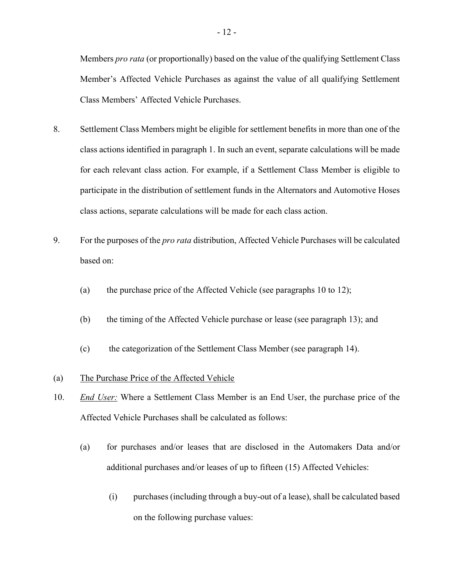Members *pro rata* (or proportionally) based on the value of the qualifying Settlement Class Member's Affected Vehicle Purchases as against the value of all qualifying Settlement Class Members' Affected Vehicle Purchases.

- 8. Settlement Class Members might be eligible for settlement benefits in more than one of the class actions identified in paragraph 1. In such an event, separate calculations will be made for each relevant class action. For example, if a Settlement Class Member is eligible to participate in the distribution of settlement funds in the Alternators and Automotive Hoses class actions, separate calculations will be made for each class action.
- 9. For the purposes of the *pro rata* distribution, Affected Vehicle Purchases will be calculated based on:
	- (a) the purchase price of the Affected Vehicle (see paragraphs 10 to 12);
	- (b) the timing of the Affected Vehicle purchase or lease (see paragraph 13); and
	- (c) the categorization of the Settlement Class Member (see paragraph 14).

### (a) The Purchase Price of the Affected Vehicle

- 10. End User: Where a Settlement Class Member is an End User, the purchase price of the Affected Vehicle Purchases shall be calculated as follows:
	- (a) for purchases and/or leases that are disclosed in the Automakers Data and/or additional purchases and/or leases of up to fifteen (15) Affected Vehicles:
		- (i) purchases (including through a buy-out of a lease), shall be calculated based on the following purchase values: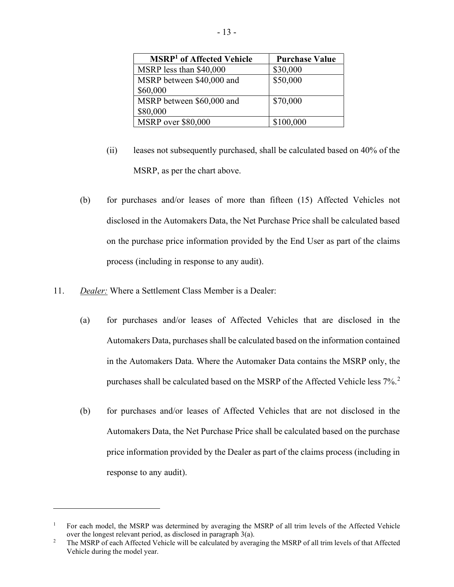| <b>MSRP<sup>1</sup></b> of Affected Vehicle | <b>Purchase Value</b> |
|---------------------------------------------|-----------------------|
| MSRP less than \$40,000                     | \$30,000              |
| MSRP between \$40,000 and                   | \$50,000              |
| \$60,000                                    |                       |
| MSRP between \$60,000 and                   | \$70,000              |
| \$80,000                                    |                       |
| <b>MSRP</b> over \$80,000                   | \$100,000             |

- (ii) leases not subsequently purchased, shall be calculated based on 40% of the MSRP, as per the chart above.
- (b) for purchases and/or leases of more than fifteen (15) Affected Vehicles not disclosed in the Automakers Data, the Net Purchase Price shall be calculated based on the purchase price information provided by the End User as part of the claims process (including in response to any audit).
- 11. Dealer: Where a Settlement Class Member is a Dealer:
	- (a) for purchases and/or leases of Affected Vehicles that are disclosed in the Automakers Data, purchases shall be calculated based on the information contained in the Automakers Data. Where the Automaker Data contains the MSRP only, the purchases shall be calculated based on the MSRP of the Affected Vehicle less  $7\%$ .<sup>2</sup>
	- (b) for purchases and/or leases of Affected Vehicles that are not disclosed in the Automakers Data, the Net Purchase Price shall be calculated based on the purchase price information provided by the Dealer as part of the claims process (including in response to any audit).

<sup>&</sup>lt;sup>1</sup> For each model, the MSRP was determined by averaging the MSRP of all trim levels of the Affected Vehicle over the longest relevant period, as disclosed in paragraph 3(a).

<sup>&</sup>lt;sup>2</sup> The MSRP of each Affected Vehicle will be calculated by averaging the MSRP of all trim levels of that Affected Vehicle during the model year.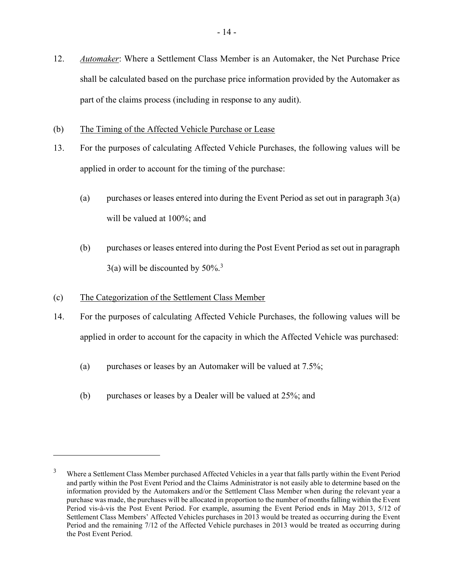- 12. Automaker: Where a Settlement Class Member is an Automaker, the Net Purchase Price shall be calculated based on the purchase price information provided by the Automaker as part of the claims process (including in response to any audit).
- (b) The Timing of the Affected Vehicle Purchase or Lease
- 13. For the purposes of calculating Affected Vehicle Purchases, the following values will be applied in order to account for the timing of the purchase:
	- (a) purchases or leases entered into during the Event Period as set out in paragraph  $3(a)$ will be valued at 100%; and
	- (b) purchases or leases entered into during the Post Event Period as set out in paragraph  $3(a)$  will be discounted by  $50\%$ <sup>3</sup>
- (c) The Categorization of the Settlement Class Member
- 14. For the purposes of calculating Affected Vehicle Purchases, the following values will be applied in order to account for the capacity in which the Affected Vehicle was purchased:
	- (a) purchases or leases by an Automaker will be valued at 7.5%;
	- (b) purchases or leases by a Dealer will be valued at 25%; and

<sup>3</sup> Where a Settlement Class Member purchased Affected Vehicles in a year that falls partly within the Event Period and partly within the Post Event Period and the Claims Administrator is not easily able to determine based on the information provided by the Automakers and/or the Settlement Class Member when during the relevant year a purchase was made, the purchases will be allocated in proportion to the number of months falling within the Event Period vis-à-vis the Post Event Period. For example, assuming the Event Period ends in May 2013, 5/12 of Settlement Class Members' Affected Vehicles purchases in 2013 would be treated as occurring during the Event Period and the remaining 7/12 of the Affected Vehicle purchases in 2013 would be treated as occurring during the Post Event Period.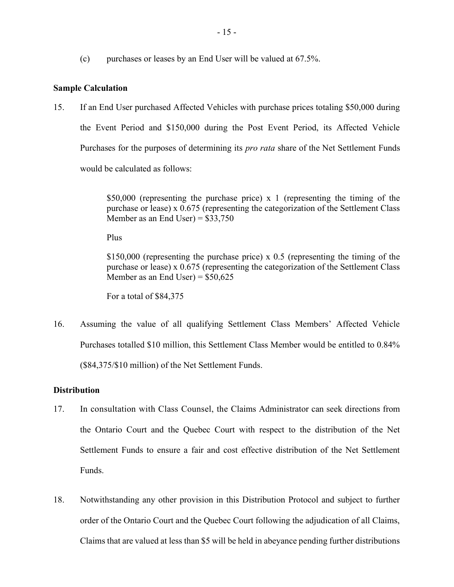(c) purchases or leases by an End User will be valued at  $67.5\%$ .

# Sample Calculation

15. If an End User purchased Affected Vehicles with purchase prices totaling \$50,000 during the Event Period and \$150,000 during the Post Event Period, its Affected Vehicle Purchases for the purposes of determining its *pro rata* share of the Net Settlement Funds would be calculated as follows:

> \$50,000 (representing the purchase price) x 1 (representing the timing of the purchase or lease) x 0.675 (representing the categorization of the Settlement Class Member as an End User) =  $$33,750$

Plus

\$150,000 (representing the purchase price) x 0.5 (representing the timing of the purchase or lease) x 0.675 (representing the categorization of the Settlement Class Member as an End User) =  $$50,625$ 

For a total of \$84,375

16. Assuming the value of all qualifying Settlement Class Members' Affected Vehicle Purchases totalled \$10 million, this Settlement Class Member would be entitled to 0.84% (\$84,375/\$10 million) of the Net Settlement Funds.

## **Distribution**

- 17. In consultation with Class Counsel, the Claims Administrator can seek directions from the Ontario Court and the Quebec Court with respect to the distribution of the Net Settlement Funds to ensure a fair and cost effective distribution of the Net Settlement Funds.
- 18. Notwithstanding any other provision in this Distribution Protocol and subject to further order of the Ontario Court and the Quebec Court following the adjudication of all Claims, Claims that are valued at less than \$5 will be held in abeyance pending further distributions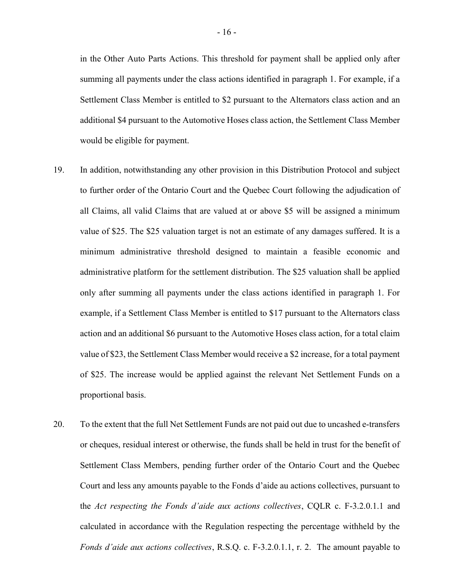in the Other Auto Parts Actions. This threshold for payment shall be applied only after summing all payments under the class actions identified in paragraph 1. For example, if a Settlement Class Member is entitled to \$2 pursuant to the Alternators class action and an additional \$4 pursuant to the Automotive Hoses class action, the Settlement Class Member would be eligible for payment.

- 19. In addition, notwithstanding any other provision in this Distribution Protocol and subject to further order of the Ontario Court and the Quebec Court following the adjudication of all Claims, all valid Claims that are valued at or above \$5 will be assigned a minimum value of \$25. The \$25 valuation target is not an estimate of any damages suffered. It is a minimum administrative threshold designed to maintain a feasible economic and administrative platform for the settlement distribution. The \$25 valuation shall be applied only after summing all payments under the class actions identified in paragraph 1. For example, if a Settlement Class Member is entitled to \$17 pursuant to the Alternators class action and an additional \$6 pursuant to the Automotive Hoses class action, for a total claim value of \$23, the Settlement Class Member would receive a \$2 increase, for a total payment of \$25. The increase would be applied against the relevant Net Settlement Funds on a proportional basis.
- 20. To the extent that the full Net Settlement Funds are not paid out due to uncashed e-transfers or cheques, residual interest or otherwise, the funds shall be held in trust for the benefit of Settlement Class Members, pending further order of the Ontario Court and the Quebec Court and less any amounts payable to the Fonds d'aide au actions collectives, pursuant to the Act respecting the Fonds d'aide aux actions collectives, CQLR c. F-3.2.0.1.1 and calculated in accordance with the Regulation respecting the percentage withheld by the Fonds d'aide aux actions collectives, R.S.Q. c. F-3.2.0.1.1, r. 2. The amount payable to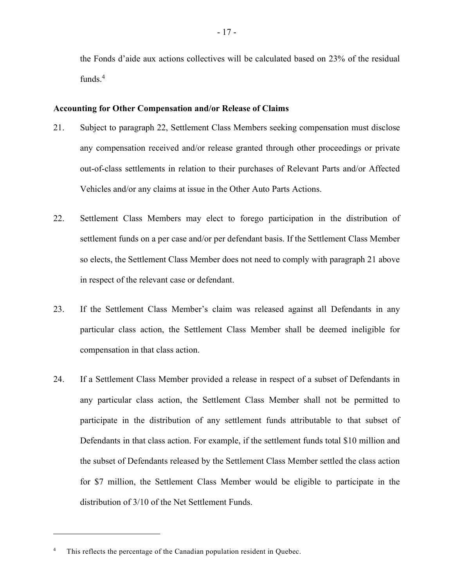the Fonds d'aide aux actions collectives will be calculated based on 23% of the residual funds.<sup>4</sup>

#### Accounting for Other Compensation and/or Release of Claims

- 21. Subject to paragraph 22, Settlement Class Members seeking compensation must disclose any compensation received and/or release granted through other proceedings or private out-of-class settlements in relation to their purchases of Relevant Parts and/or Affected Vehicles and/or any claims at issue in the Other Auto Parts Actions.
- 22. Settlement Class Members may elect to forego participation in the distribution of settlement funds on a per case and/or per defendant basis. If the Settlement Class Member so elects, the Settlement Class Member does not need to comply with paragraph 21 above in respect of the relevant case or defendant.
- 23. If the Settlement Class Member's claim was released against all Defendants in any particular class action, the Settlement Class Member shall be deemed ineligible for compensation in that class action.
- 24. If a Settlement Class Member provided a release in respect of a subset of Defendants in any particular class action, the Settlement Class Member shall not be permitted to participate in the distribution of any settlement funds attributable to that subset of Defendants in that class action. For example, if the settlement funds total \$10 million and the subset of Defendants released by the Settlement Class Member settled the class action for \$7 million, the Settlement Class Member would be eligible to participate in the distribution of 3/10 of the Net Settlement Funds.

This reflects the percentage of the Canadian population resident in Quebec.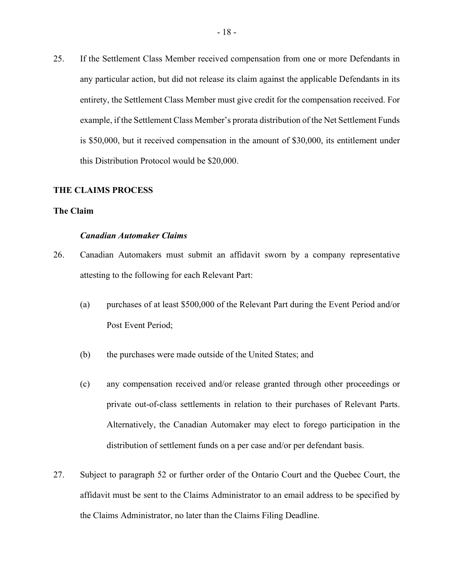25. If the Settlement Class Member received compensation from one or more Defendants in any particular action, but did not release its claim against the applicable Defendants in its entirety, the Settlement Class Member must give credit for the compensation received. For example, if the Settlement Class Member's prorata distribution of the Net Settlement Funds is \$50,000, but it received compensation in the amount of \$30,000, its entitlement under this Distribution Protocol would be \$20,000.

#### THE CLAIMS PROCESS

#### The Claim

#### Canadian Automaker Claims

- 26. Canadian Automakers must submit an affidavit sworn by a company representative attesting to the following for each Relevant Part:
	- (a) purchases of at least \$500,000 of the Relevant Part during the Event Period and/or Post Event Period;
	- (b) the purchases were made outside of the United States; and
	- (c) any compensation received and/or release granted through other proceedings or private out-of-class settlements in relation to their purchases of Relevant Parts. Alternatively, the Canadian Automaker may elect to forego participation in the distribution of settlement funds on a per case and/or per defendant basis.
- 27. Subject to paragraph 52 or further order of the Ontario Court and the Quebec Court, the affidavit must be sent to the Claims Administrator to an email address to be specified by the Claims Administrator, no later than the Claims Filing Deadline.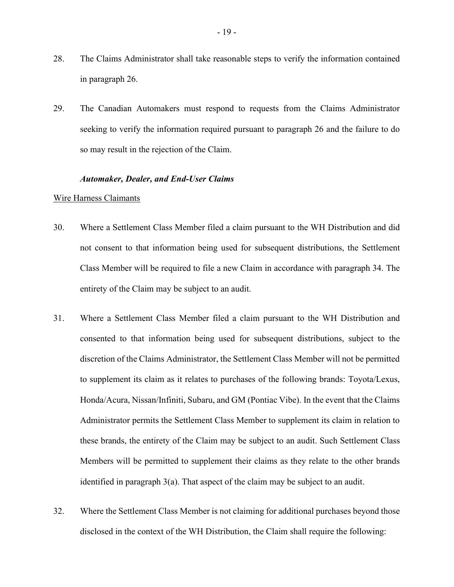- 28. The Claims Administrator shall take reasonable steps to verify the information contained in paragraph 26.
- 29. The Canadian Automakers must respond to requests from the Claims Administrator seeking to verify the information required pursuant to paragraph 26 and the failure to do so may result in the rejection of the Claim.

### Automaker, Dealer, and End-User Claims

#### Wire Harness Claimants

- 30. Where a Settlement Class Member filed a claim pursuant to the WH Distribution and did not consent to that information being used for subsequent distributions, the Settlement Class Member will be required to file a new Claim in accordance with paragraph 34. The entirety of the Claim may be subject to an audit.
- 31. Where a Settlement Class Member filed a claim pursuant to the WH Distribution and consented to that information being used for subsequent distributions, subject to the discretion of the Claims Administrator, the Settlement Class Member will not be permitted to supplement its claim as it relates to purchases of the following brands: Toyota/Lexus, Honda/Acura, Nissan/Infiniti, Subaru, and GM (Pontiac Vibe). In the event that the Claims Administrator permits the Settlement Class Member to supplement its claim in relation to these brands, the entirety of the Claim may be subject to an audit. Such Settlement Class Members will be permitted to supplement their claims as they relate to the other brands identified in paragraph  $3(a)$ . That aspect of the claim may be subject to an audit.
- 32. Where the Settlement Class Member is not claiming for additional purchases beyond those disclosed in the context of the WH Distribution, the Claim shall require the following: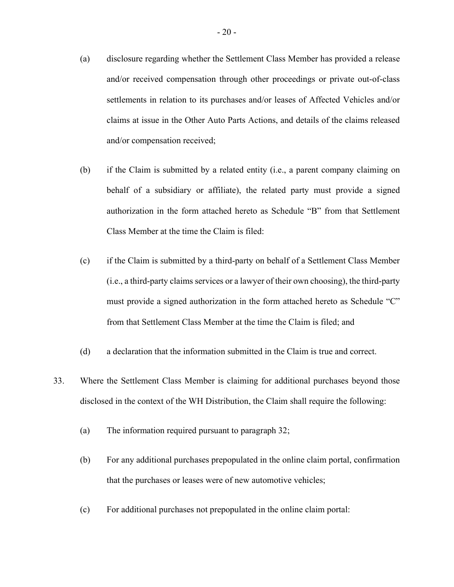- (a) disclosure regarding whether the Settlement Class Member has provided a release and/or received compensation through other proceedings or private out-of-class settlements in relation to its purchases and/or leases of Affected Vehicles and/or claims at issue in the Other Auto Parts Actions, and details of the claims released and/or compensation received;
- (b) if the Claim is submitted by a related entity (i.e., a parent company claiming on behalf of a subsidiary or affiliate), the related party must provide a signed authorization in the form attached hereto as Schedule "B" from that Settlement Class Member at the time the Claim is filed:
- (c) if the Claim is submitted by a third-party on behalf of a Settlement Class Member (i.e., a third-party claims services or a lawyer of their own choosing), the third-party must provide a signed authorization in the form attached hereto as Schedule "C" from that Settlement Class Member at the time the Claim is filed; and
- (d) a declaration that the information submitted in the Claim is true and correct.
- 33. Where the Settlement Class Member is claiming for additional purchases beyond those disclosed in the context of the WH Distribution, the Claim shall require the following:
	- (a) The information required pursuant to paragraph 32;
	- (b) For any additional purchases prepopulated in the online claim portal, confirmation that the purchases or leases were of new automotive vehicles;
	- (c) For additional purchases not prepopulated in the online claim portal: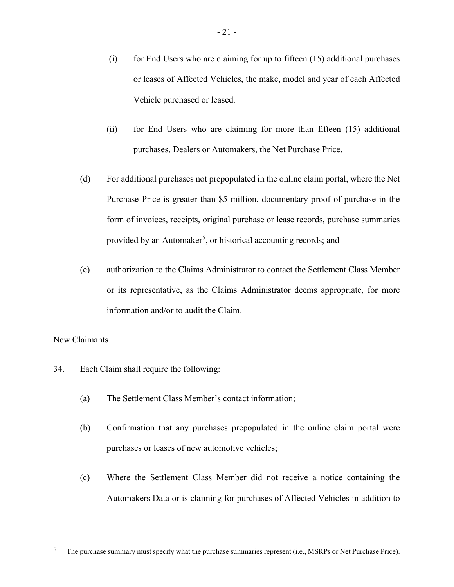- $(i)$  for End Users who are claiming for up to fifteen  $(15)$  additional purchases or leases of Affected Vehicles, the make, model and year of each Affected Vehicle purchased or leased.
- (ii) for End Users who are claiming for more than fifteen (15) additional purchases, Dealers or Automakers, the Net Purchase Price.
- (d) For additional purchases not prepopulated in the online claim portal, where the Net Purchase Price is greater than \$5 million, documentary proof of purchase in the form of invoices, receipts, original purchase or lease records, purchase summaries provided by an Automaker<sup>5</sup>, or historical accounting records; and
- (e) authorization to the Claims Administrator to contact the Settlement Class Member or its representative, as the Claims Administrator deems appropriate, for more information and/or to audit the Claim.

# New Claimants

- 34. Each Claim shall require the following:
	- (a) The Settlement Class Member's contact information;
	- (b) Confirmation that any purchases prepopulated in the online claim portal were purchases or leases of new automotive vehicles;
	- (c) Where the Settlement Class Member did not receive a notice containing the Automakers Data or is claiming for purchases of Affected Vehicles in addition to

<sup>&</sup>lt;sup>5</sup> The purchase summary must specify what the purchase summaries represent (i.e., MSRPs or Net Purchase Price).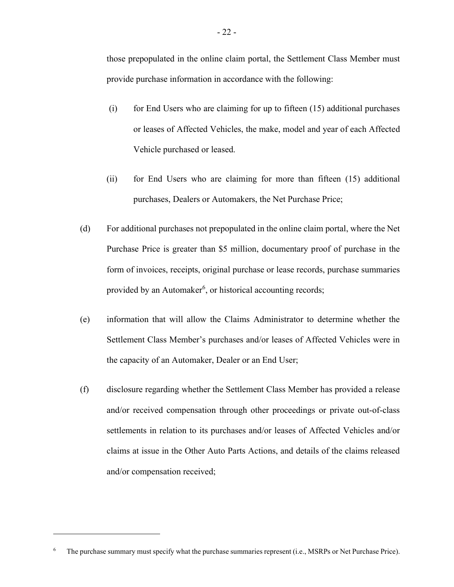those prepopulated in the online claim portal, the Settlement Class Member must provide purchase information in accordance with the following:

- (i) for End Users who are claiming for up to fifteen (15) additional purchases or leases of Affected Vehicles, the make, model and year of each Affected Vehicle purchased or leased.
- (ii) for End Users who are claiming for more than fifteen (15) additional purchases, Dealers or Automakers, the Net Purchase Price;
- (d) For additional purchases not prepopulated in the online claim portal, where the Net Purchase Price is greater than \$5 million, documentary proof of purchase in the form of invoices, receipts, original purchase or lease records, purchase summaries provided by an Automaker<sup>6</sup>, or historical accounting records;
- (e) information that will allow the Claims Administrator to determine whether the Settlement Class Member's purchases and/or leases of Affected Vehicles were in the capacity of an Automaker, Dealer or an End User;
- (f) disclosure regarding whether the Settlement Class Member has provided a release and/or received compensation through other proceedings or private out-of-class settlements in relation to its purchases and/or leases of Affected Vehicles and/or claims at issue in the Other Auto Parts Actions, and details of the claims released and/or compensation received;

<sup>&</sup>lt;sup>6</sup> The purchase summary must specify what the purchase summaries represent (i.e., MSRPs or Net Purchase Price).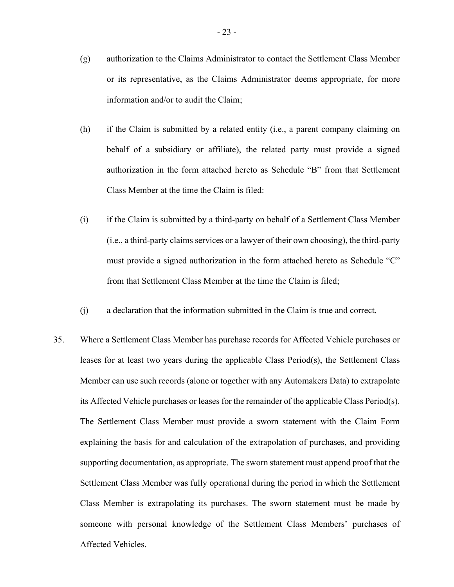- (g) authorization to the Claims Administrator to contact the Settlement Class Member or its representative, as the Claims Administrator deems appropriate, for more information and/or to audit the Claim;
- (h) if the Claim is submitted by a related entity (i.e., a parent company claiming on behalf of a subsidiary or affiliate), the related party must provide a signed authorization in the form attached hereto as Schedule "B" from that Settlement Class Member at the time the Claim is filed:
- (i) if the Claim is submitted by a third-party on behalf of a Settlement Class Member (i.e., a third-party claims services or a lawyer of their own choosing), the third-party must provide a signed authorization in the form attached hereto as Schedule "C" from that Settlement Class Member at the time the Claim is filed;
- (j) a declaration that the information submitted in the Claim is true and correct.
- 35. Where a Settlement Class Member has purchase records for Affected Vehicle purchases or leases for at least two years during the applicable Class Period(s), the Settlement Class Member can use such records (alone or together with any Automakers Data) to extrapolate its Affected Vehicle purchases or leases for the remainder of the applicable Class Period(s). The Settlement Class Member must provide a sworn statement with the Claim Form explaining the basis for and calculation of the extrapolation of purchases, and providing supporting documentation, as appropriate. The sworn statement must append proof that the Settlement Class Member was fully operational during the period in which the Settlement Class Member is extrapolating its purchases. The sworn statement must be made by someone with personal knowledge of the Settlement Class Members' purchases of Affected Vehicles.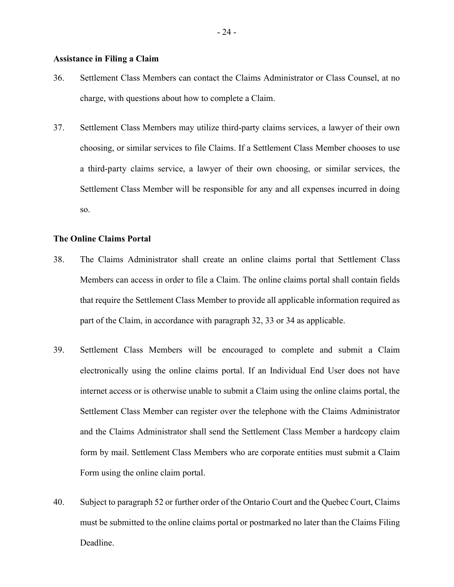## Assistance in Filing a Claim

- 36. Settlement Class Members can contact the Claims Administrator or Class Counsel, at no charge, with questions about how to complete a Claim.
- 37. Settlement Class Members may utilize third-party claims services, a lawyer of their own choosing, or similar services to file Claims. If a Settlement Class Member chooses to use a third-party claims service, a lawyer of their own choosing, or similar services, the Settlement Class Member will be responsible for any and all expenses incurred in doing so.

#### The Online Claims Portal

- 38. The Claims Administrator shall create an online claims portal that Settlement Class Members can access in order to file a Claim. The online claims portal shall contain fields that require the Settlement Class Member to provide all applicable information required as part of the Claim, in accordance with paragraph 32, 33 or 34 as applicable.
- 39. Settlement Class Members will be encouraged to complete and submit a Claim electronically using the online claims portal. If an Individual End User does not have internet access or is otherwise unable to submit a Claim using the online claims portal, the Settlement Class Member can register over the telephone with the Claims Administrator and the Claims Administrator shall send the Settlement Class Member a hardcopy claim form by mail. Settlement Class Members who are corporate entities must submit a Claim Form using the online claim portal.
- 40. Subject to paragraph 52 or further order of the Ontario Court and the Quebec Court, Claims must be submitted to the online claims portal or postmarked no later than the Claims Filing Deadline.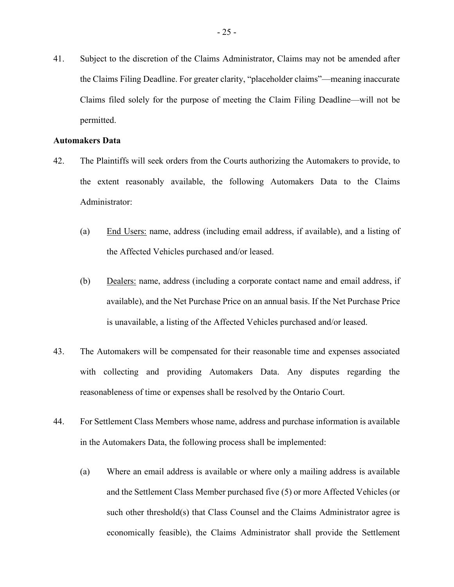41. Subject to the discretion of the Claims Administrator, Claims may not be amended after the Claims Filing Deadline. For greater clarity, "placeholder claims"—meaning inaccurate Claims filed solely for the purpose of meeting the Claim Filing Deadline—will not be permitted.

#### Automakers Data

- 42. The Plaintiffs will seek orders from the Courts authorizing the Automakers to provide, to the extent reasonably available, the following Automakers Data to the Claims Administrator:
	- (a) End Users: name, address (including email address, if available), and a listing of the Affected Vehicles purchased and/or leased.
	- (b) Dealers: name, address (including a corporate contact name and email address, if available), and the Net Purchase Price on an annual basis. If the Net Purchase Price is unavailable, a listing of the Affected Vehicles purchased and/or leased.
- 43. The Automakers will be compensated for their reasonable time and expenses associated with collecting and providing Automakers Data. Any disputes regarding the reasonableness of time or expenses shall be resolved by the Ontario Court.
- 44. For Settlement Class Members whose name, address and purchase information is available in the Automakers Data, the following process shall be implemented:
	- (a) Where an email address is available or where only a mailing address is available and the Settlement Class Member purchased five (5) or more Affected Vehicles (or such other threshold(s) that Class Counsel and the Claims Administrator agree is economically feasible), the Claims Administrator shall provide the Settlement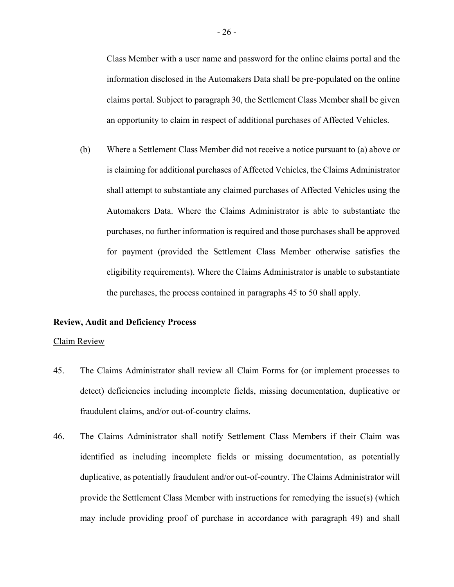Class Member with a user name and password for the online claims portal and the information disclosed in the Automakers Data shall be pre-populated on the online claims portal. Subject to paragraph 30, the Settlement Class Member shall be given an opportunity to claim in respect of additional purchases of Affected Vehicles.

(b) Where a Settlement Class Member did not receive a notice pursuant to (a) above or is claiming for additional purchases of Affected Vehicles, the Claims Administrator shall attempt to substantiate any claimed purchases of Affected Vehicles using the Automakers Data. Where the Claims Administrator is able to substantiate the purchases, no further information is required and those purchases shall be approved for payment (provided the Settlement Class Member otherwise satisfies the eligibility requirements). Where the Claims Administrator is unable to substantiate the purchases, the process contained in paragraphs 45 to 50 shall apply.

#### Review, Audit and Deficiency Process

#### Claim Review

- 45. The Claims Administrator shall review all Claim Forms for (or implement processes to detect) deficiencies including incomplete fields, missing documentation, duplicative or fraudulent claims, and/or out-of-country claims.
- 46. The Claims Administrator shall notify Settlement Class Members if their Claim was identified as including incomplete fields or missing documentation, as potentially duplicative, as potentially fraudulent and/or out-of-country. The Claims Administrator will provide the Settlement Class Member with instructions for remedying the issue(s) (which may include providing proof of purchase in accordance with paragraph 49) and shall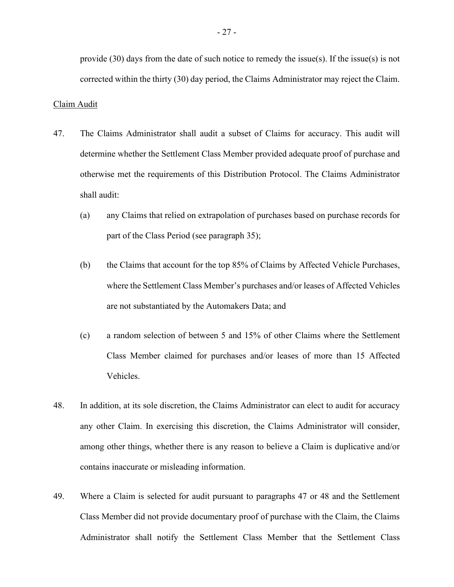provide (30) days from the date of such notice to remedy the issue(s). If the issue(s) is not corrected within the thirty (30) day period, the Claims Administrator may reject the Claim.

#### Claim Audit

- 47. The Claims Administrator shall audit a subset of Claims for accuracy. This audit will determine whether the Settlement Class Member provided adequate proof of purchase and otherwise met the requirements of this Distribution Protocol. The Claims Administrator shall audit:
	- (a) any Claims that relied on extrapolation of purchases based on purchase records for part of the Class Period (see paragraph 35);
	- (b) the Claims that account for the top 85% of Claims by Affected Vehicle Purchases, where the Settlement Class Member's purchases and/or leases of Affected Vehicles are not substantiated by the Automakers Data; and
	- (c) a random selection of between 5 and 15% of other Claims where the Settlement Class Member claimed for purchases and/or leases of more than 15 Affected Vehicles.
- 48. In addition, at its sole discretion, the Claims Administrator can elect to audit for accuracy any other Claim. In exercising this discretion, the Claims Administrator will consider, among other things, whether there is any reason to believe a Claim is duplicative and/or contains inaccurate or misleading information.
- 49. Where a Claim is selected for audit pursuant to paragraphs 47 or 48 and the Settlement Class Member did not provide documentary proof of purchase with the Claim, the Claims Administrator shall notify the Settlement Class Member that the Settlement Class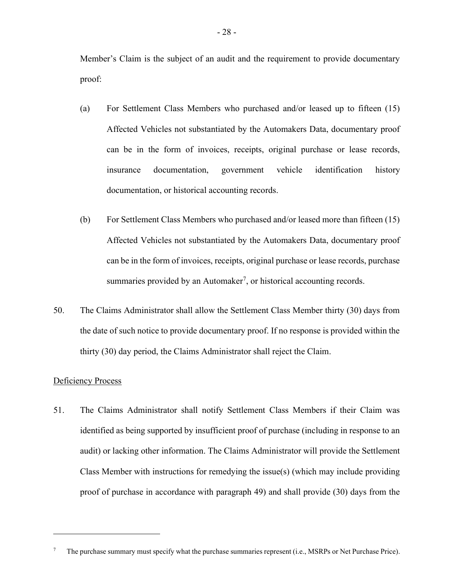Member's Claim is the subject of an audit and the requirement to provide documentary proof:

- (a) For Settlement Class Members who purchased and/or leased up to fifteen (15) Affected Vehicles not substantiated by the Automakers Data, documentary proof can be in the form of invoices, receipts, original purchase or lease records, insurance documentation, government vehicle identification history documentation, or historical accounting records.
- (b) For Settlement Class Members who purchased and/or leased more than fifteen (15) Affected Vehicles not substantiated by the Automakers Data, documentary proof can be in the form of invoices, receipts, original purchase or lease records, purchase summaries provided by an Automaker<sup>7</sup>, or historical accounting records.
- 50. The Claims Administrator shall allow the Settlement Class Member thirty (30) days from the date of such notice to provide documentary proof. If no response is provided within the thirty (30) day period, the Claims Administrator shall reject the Claim.

# Deficiency Process

51. The Claims Administrator shall notify Settlement Class Members if their Claim was identified as being supported by insufficient proof of purchase (including in response to an audit) or lacking other information. The Claims Administrator will provide the Settlement Class Member with instructions for remedying the issue(s) (which may include providing proof of purchase in accordance with paragraph 49) and shall provide (30) days from the

The purchase summary must specify what the purchase summaries represent (i.e., MSRPs or Net Purchase Price).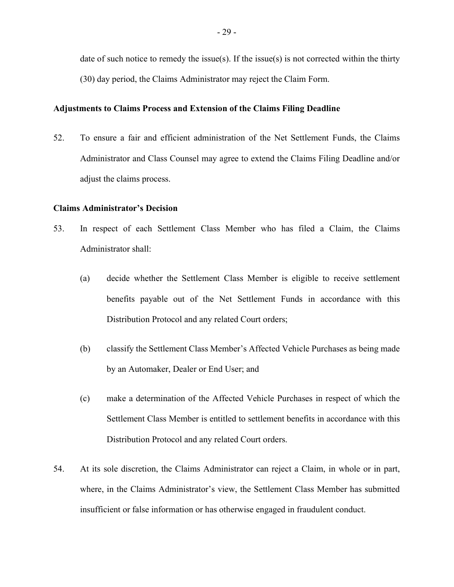date of such notice to remedy the issue(s). If the issue(s) is not corrected within the thirty (30) day period, the Claims Administrator may reject the Claim Form.

### Adjustments to Claims Process and Extension of the Claims Filing Deadline

52. To ensure a fair and efficient administration of the Net Settlement Funds, the Claims Administrator and Class Counsel may agree to extend the Claims Filing Deadline and/or adjust the claims process.

# Claims Administrator's Decision

- 53. In respect of each Settlement Class Member who has filed a Claim, the Claims Administrator shall:
	- (a) decide whether the Settlement Class Member is eligible to receive settlement benefits payable out of the Net Settlement Funds in accordance with this Distribution Protocol and any related Court orders;
	- (b) classify the Settlement Class Member's Affected Vehicle Purchases as being made by an Automaker, Dealer or End User; and
	- (c) make a determination of the Affected Vehicle Purchases in respect of which the Settlement Class Member is entitled to settlement benefits in accordance with this Distribution Protocol and any related Court orders.
- 54. At its sole discretion, the Claims Administrator can reject a Claim, in whole or in part, where, in the Claims Administrator's view, the Settlement Class Member has submitted insufficient or false information or has otherwise engaged in fraudulent conduct.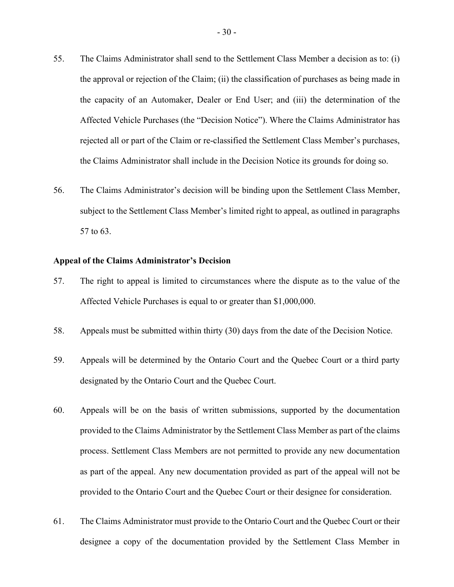- 55. The Claims Administrator shall send to the Settlement Class Member a decision as to: (i) the approval or rejection of the Claim; (ii) the classification of purchases as being made in the capacity of an Automaker, Dealer or End User; and (iii) the determination of the Affected Vehicle Purchases (the "Decision Notice"). Where the Claims Administrator has rejected all or part of the Claim or re-classified the Settlement Class Member's purchases, the Claims Administrator shall include in the Decision Notice its grounds for doing so.
- 56. The Claims Administrator's decision will be binding upon the Settlement Class Member, subject to the Settlement Class Member's limited right to appeal, as outlined in paragraphs 57 to 63.

### Appeal of the Claims Administrator's Decision

- 57. The right to appeal is limited to circumstances where the dispute as to the value of the Affected Vehicle Purchases is equal to or greater than \$1,000,000.
- 58. Appeals must be submitted within thirty (30) days from the date of the Decision Notice.
- 59. Appeals will be determined by the Ontario Court and the Quebec Court or a third party designated by the Ontario Court and the Quebec Court.
- 60. Appeals will be on the basis of written submissions, supported by the documentation provided to the Claims Administrator by the Settlement Class Member as part of the claims process. Settlement Class Members are not permitted to provide any new documentation as part of the appeal. Any new documentation provided as part of the appeal will not be provided to the Ontario Court and the Quebec Court or their designee for consideration.
- 61. The Claims Administrator must provide to the Ontario Court and the Quebec Court or their designee a copy of the documentation provided by the Settlement Class Member in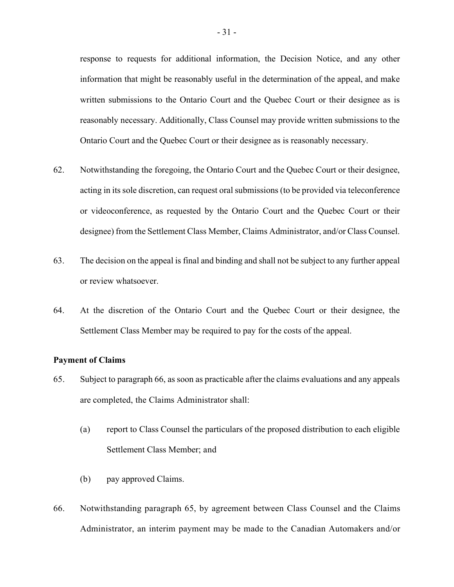response to requests for additional information, the Decision Notice, and any other information that might be reasonably useful in the determination of the appeal, and make written submissions to the Ontario Court and the Quebec Court or their designee as is reasonably necessary. Additionally, Class Counsel may provide written submissions to the Ontario Court and the Quebec Court or their designee as is reasonably necessary.

- 62. Notwithstanding the foregoing, the Ontario Court and the Quebec Court or their designee, acting in its sole discretion, can request oral submissions (to be provided via teleconference or videoconference, as requested by the Ontario Court and the Quebec Court or their designee) from the Settlement Class Member, Claims Administrator, and/or Class Counsel.
- 63. The decision on the appeal is final and binding and shall not be subject to any further appeal or review whatsoever.
- 64. At the discretion of the Ontario Court and the Quebec Court or their designee, the Settlement Class Member may be required to pay for the costs of the appeal.

### Payment of Claims

- 65. Subject to paragraph 66, as soon as practicable after the claims evaluations and any appeals are completed, the Claims Administrator shall:
	- (a) report to Class Counsel the particulars of the proposed distribution to each eligible Settlement Class Member; and
	- (b) pay approved Claims.
- 66. Notwithstanding paragraph 65, by agreement between Class Counsel and the Claims Administrator, an interim payment may be made to the Canadian Automakers and/or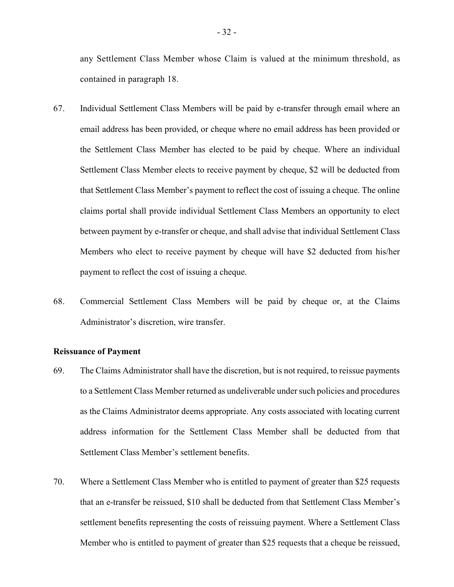any Settlement Class Member whose Claim is valued at the minimum threshold, as contained in paragraph 18.

- 67. Individual Settlement Class Members will be paid by e-transfer through email where an email address has been provided, or cheque where no email address has been provided or the Settlement Class Member has elected to be paid by cheque. Where an individual Settlement Class Member elects to receive payment by cheque, \$2 will be deducted from that Settlement Class Member's payment to reflect the cost of issuing a cheque. The online claims portal shall provide individual Settlement Class Members an opportunity to elect between payment by e-transfer or cheque, and shall advise that individual Settlement Class Members who elect to receive payment by cheque will have \$2 deducted from his/her payment to reflect the cost of issuing a cheque.
- 68. Commercial Settlement Class Members will be paid by cheque or, at the Claims Administrator's discretion, wire transfer.

### Reissuance of Payment

- 69. The Claims Administrator shall have the discretion, but is not required, to reissue payments to a Settlement Class Member returned as undeliverable under such policies and procedures as the Claims Administrator deems appropriate. Any costs associated with locating current address information for the Settlement Class Member shall be deducted from that Settlement Class Member's settlement benefits.
- 70. Where a Settlement Class Member who is entitled to payment of greater than \$25 requests that an e-transfer be reissued, \$10 shall be deducted from that Settlement Class Member's settlement benefits representing the costs of reissuing payment. Where a Settlement Class Member who is entitled to payment of greater than \$25 requests that a cheque be reissued,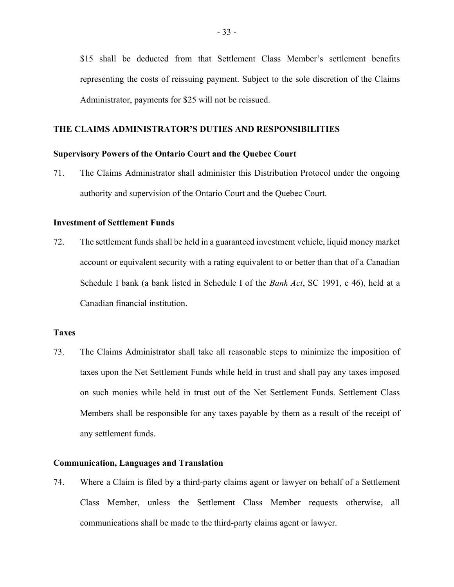\$15 shall be deducted from that Settlement Class Member's settlement benefits representing the costs of reissuing payment. Subject to the sole discretion of the Claims Administrator, payments for \$25 will not be reissued.

# THE CLAIMS ADMINISTRATOR'S DUTIES AND RESPONSIBILITIES

#### Supervisory Powers of the Ontario Court and the Quebec Court

71. The Claims Administrator shall administer this Distribution Protocol under the ongoing authority and supervision of the Ontario Court and the Quebec Court.

#### Investment of Settlement Funds

72. The settlement funds shall be held in a guaranteed investment vehicle, liquid money market account or equivalent security with a rating equivalent to or better than that of a Canadian Schedule I bank (a bank listed in Schedule I of the *Bank Act*, SC 1991, c 46), held at a Canadian financial institution.

# Taxes

73. The Claims Administrator shall take all reasonable steps to minimize the imposition of taxes upon the Net Settlement Funds while held in trust and shall pay any taxes imposed on such monies while held in trust out of the Net Settlement Funds. Settlement Class Members shall be responsible for any taxes payable by them as a result of the receipt of any settlement funds.

## Communication, Languages and Translation

74. Where a Claim is filed by a third-party claims agent or lawyer on behalf of a Settlement Class Member, unless the Settlement Class Member requests otherwise, all communications shall be made to the third-party claims agent or lawyer.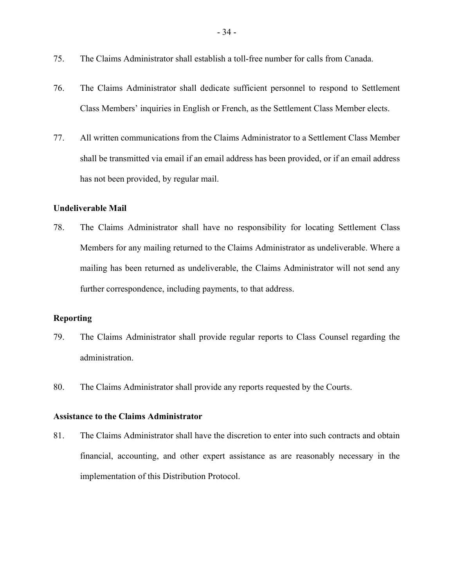- 75. The Claims Administrator shall establish a toll-free number for calls from Canada.
- 76. The Claims Administrator shall dedicate sufficient personnel to respond to Settlement Class Members' inquiries in English or French, as the Settlement Class Member elects.
- 77. All written communications from the Claims Administrator to a Settlement Class Member shall be transmitted via email if an email address has been provided, or if an email address has not been provided, by regular mail.

# Undeliverable Mail

78. The Claims Administrator shall have no responsibility for locating Settlement Class Members for any mailing returned to the Claims Administrator as undeliverable. Where a mailing has been returned as undeliverable, the Claims Administrator will not send any further correspondence, including payments, to that address.

# Reporting

- 79. The Claims Administrator shall provide regular reports to Class Counsel regarding the administration.
- 80. The Claims Administrator shall provide any reports requested by the Courts.

# Assistance to the Claims Administrator

81. The Claims Administrator shall have the discretion to enter into such contracts and obtain financial, accounting, and other expert assistance as are reasonably necessary in the implementation of this Distribution Protocol.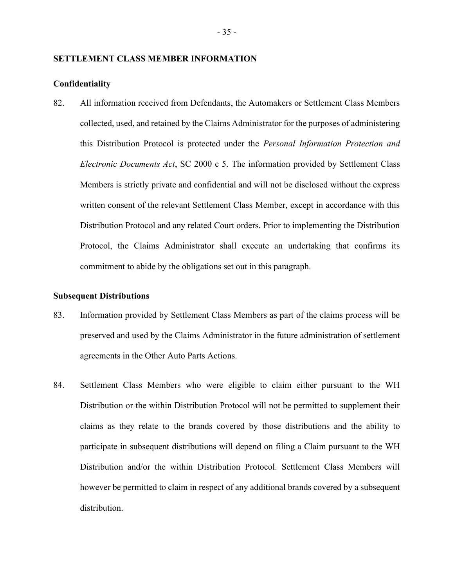#### SETTLEMENT CLASS MEMBER INFORMATION

#### Confidentiality

82. All information received from Defendants, the Automakers or Settlement Class Members collected, used, and retained by the Claims Administrator for the purposes of administering this Distribution Protocol is protected under the Personal Information Protection and Electronic Documents Act, SC 2000 c 5. The information provided by Settlement Class Members is strictly private and confidential and will not be disclosed without the express written consent of the relevant Settlement Class Member, except in accordance with this Distribution Protocol and any related Court orders. Prior to implementing the Distribution Protocol, the Claims Administrator shall execute an undertaking that confirms its commitment to abide by the obligations set out in this paragraph.

#### Subsequent Distributions

- 83. Information provided by Settlement Class Members as part of the claims process will be preserved and used by the Claims Administrator in the future administration of settlement agreements in the Other Auto Parts Actions.
- 84. Settlement Class Members who were eligible to claim either pursuant to the WH Distribution or the within Distribution Protocol will not be permitted to supplement their claims as they relate to the brands covered by those distributions and the ability to participate in subsequent distributions will depend on filing a Claim pursuant to the WH Distribution and/or the within Distribution Protocol. Settlement Class Members will however be permitted to claim in respect of any additional brands covered by a subsequent distribution.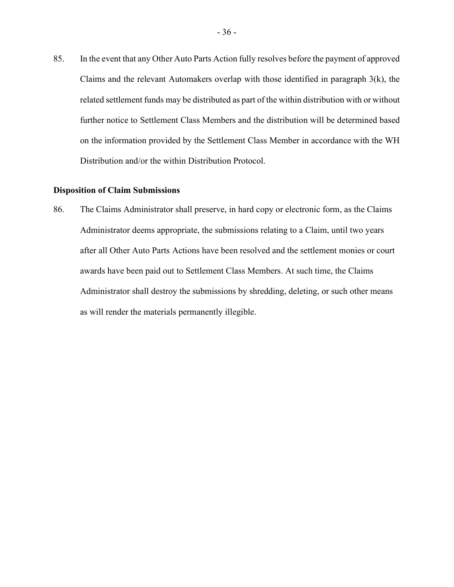85. In the event that any Other Auto Parts Action fully resolves before the payment of approved Claims and the relevant Automakers overlap with those identified in paragraph 3(k), the related settlement funds may be distributed as part of the within distribution with or without further notice to Settlement Class Members and the distribution will be determined based on the information provided by the Settlement Class Member in accordance with the WH Distribution and/or the within Distribution Protocol.

#### Disposition of Claim Submissions

86. The Claims Administrator shall preserve, in hard copy or electronic form, as the Claims Administrator deems appropriate, the submissions relating to a Claim, until two years after all Other Auto Parts Actions have been resolved and the settlement monies or court awards have been paid out to Settlement Class Members. At such time, the Claims Administrator shall destroy the submissions by shredding, deleting, or such other means as will render the materials permanently illegible.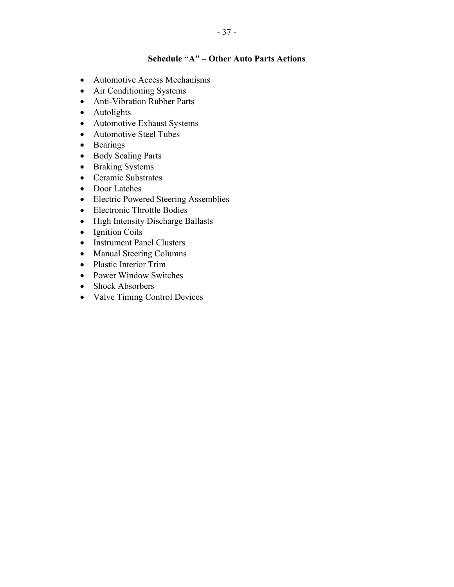# Schedule "A" – Other Auto Parts Actions

- Automotive Access Mechanisms
- Air Conditioning Systems
- Anti-Vibration Rubber Parts
- Autolights
- Automotive Exhaust Systems
- Automotive Steel Tubes
- Bearings
- Body Sealing Parts
- Braking Systems
- Ceramic Substrates
- Door Latches
- Electric Powered Steering Assemblies
- Electronic Throttle Bodies
- High Intensity Discharge Ballasts
- Ignition Coils
- Instrument Panel Clusters
- Manual Steering Columns
- Plastic Interior Trim
- Power Window Switches
- Shock Absorbers
- Valve Timing Control Devices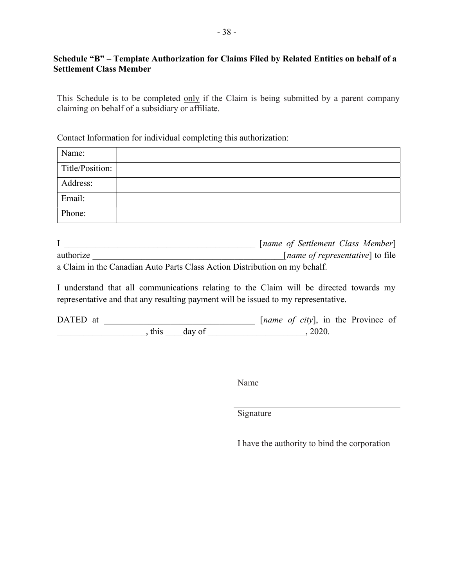# Schedule "B" – Template Authorization for Claims Filed by Related Entities on behalf of a Settlement Class Member

This Schedule is to be completed only if the Claim is being submitted by a parent company claiming on behalf of a subsidiary or affiliate.

# Contact Information for individual completing this authorization:

| Name:           |  |
|-----------------|--|
| Title/Position: |  |
| Address:        |  |
| Email:          |  |
| Phone:          |  |

|                                                                            | [name of Settlement Class Member]         |
|----------------------------------------------------------------------------|-------------------------------------------|
| authorize                                                                  | [ <i>name of representative</i> ] to file |
| a Claim in the Canadian Auto Parts Class Action Distribution on my behalf. |                                           |

I understand that all communications relating to the Claim will be directed towards my representative and that any resulting payment will be issued to my representative.

| DATED at |      |        |  |       |  | [ <i>name of city</i> ], in the Province of |  |
|----------|------|--------|--|-------|--|---------------------------------------------|--|
|          | this | day of |  | 2020. |  |                                             |  |

Name

Signature

I have the authority to bind the corporation